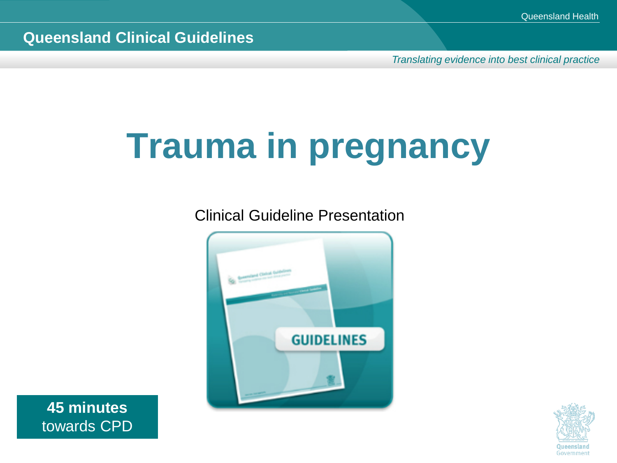*Translating evidence into best clinical practice*

# **Trauma in pregnancy**

Clinical Guideline Presentation



**45 minutes** towards CPD

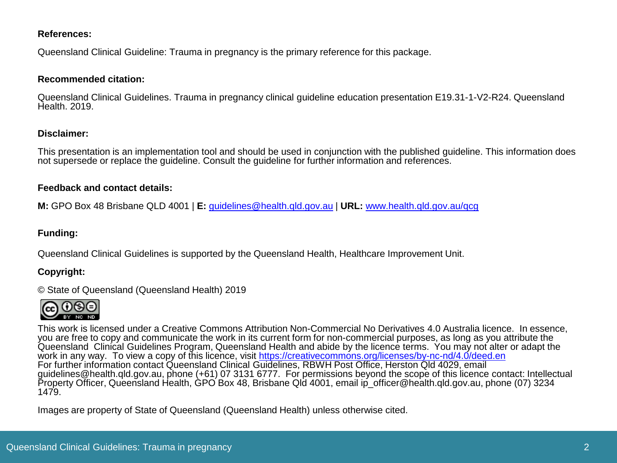#### **References:**

Queensland Clinical Guideline: Trauma in pregnancy is the primary reference for this package.

#### **Recommended citation:**

Queensland Clinical Guidelines. Trauma in pregnancy clinical guideline education presentation E19.31-1-V2-R24. Queensland Health. 2019.

#### **Disclaimer:**

This presentation is an implementation tool and should be used in conjunction with the published guideline. This information does not supersede or replace the guideline. Consult the guideline for further information and references.

#### **Feedback and contact details:**

**M:** GPO Box 48 Brisbane QLD 4001 | **E:** [guidelines@health.qld.gov.au](mailto:guidelines@health.qld.gov.au) | **URL:** [www.health.qld.gov.au/qcg](http://www.health.qld.gov.au/qcg)

#### **Funding:**

Queensland Clinical Guidelines is supported by the Queensland Health, Healthcare Improvement Unit.

#### **Copyright:**

© State of Queensland (Queensland Health) 2019



This work is licensed under a Creative Commons Attribution Non-Commercial No Derivatives 4.0 Australia licence. In essence, you are free to copy and communicate the work in its current form for non-commercial purposes, as long as you attribute the Queensland Clinical Guidelines Program, Queensland Health and abide by the licence terms. You may not alter or adapt the work in any way. To view a copy of this licence, visit<https://creativecommons.org/licenses/by-nc-nd/4.0/deed.en> For further information contact Queensland Clinical Guidelines, RBWH Post Office, Herston Qld 4029, email guidelines@health.qld.gov.au, phone (+61) 07 3131 6777. For permissions beyond the scope of this licence contact: Intellectual Property Officer, Queensland Health, GPO Box 48, Brisbane Qld 4001, email ip\_officer@health.qld.gov.au, phone (07) 3234 1479.

Images are property of State of Queensland (Queensland Health) unless otherwise cited.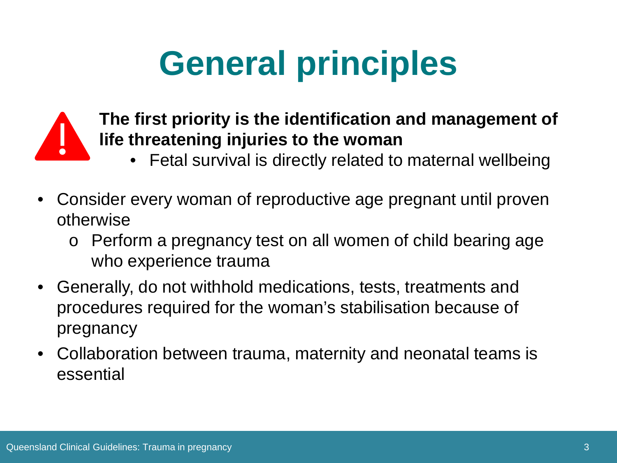# **General principles**



#### **The first priority is the identification and management of life threatening injuries to the woman**

- Fetal survival is directly related to maternal wellbeing
- Consider every woman of reproductive age pregnant until proven otherwise
	- o Perform a pregnancy test on all women of child bearing age who experience trauma
- Generally, do not withhold medications, tests, treatments and procedures required for the woman's stabilisation because of pregnancy
- Collaboration between trauma, maternity and neonatal teams is essential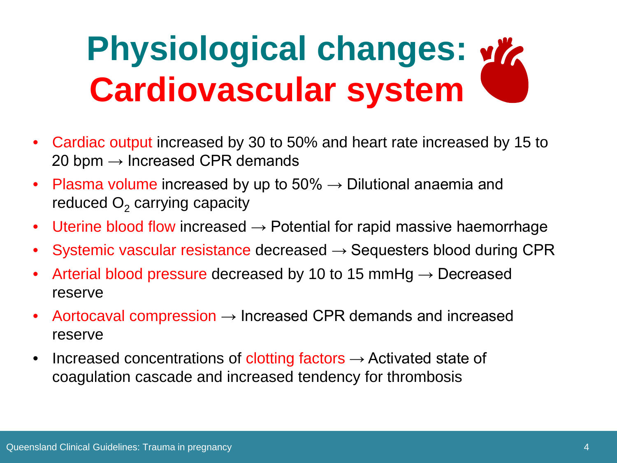# **Physiological changes:**  $\frac{d}{dx}$ **Cardiovascular system**

- Cardiac output increased by 30 to 50% and heart rate increased by 15 to 20 bpm  $\rightarrow$  Increased CPR demands
- Plasma volume increased by up to  $50\% \rightarrow$  Dilutional anaemia and reduced  $O<sub>2</sub>$  carrying capacity
- Uterine blood flow increased  $\rightarrow$  Potential for rapid massive haemorrhage
- Systemic vascular resistance decreased  $\rightarrow$  Sequesters blood during CPR
- Arterial blood pressure decreased by 10 to 15 mmHg  $\rightarrow$  Decreased reserve
- Aortocaval compression  $\rightarrow$  Increased CPR demands and increased reserve
- Increased concentrations of clotting factors  $\rightarrow$  Activated state of coagulation cascade and increased tendency for thrombosis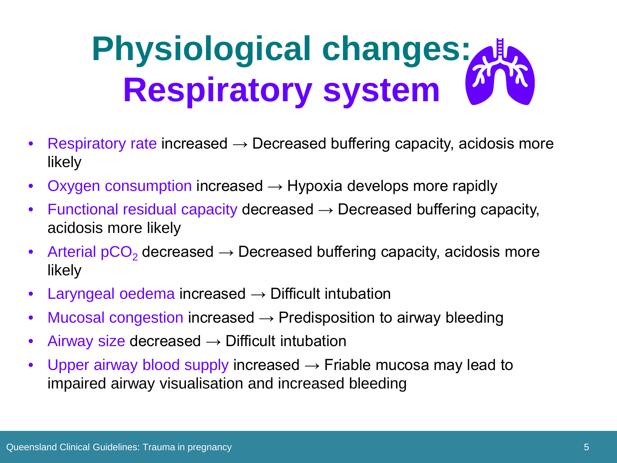# **Physiological changes: Respiratory system**

- Respiratory rate increased  $\rightarrow$  Decreased buffering capacity, acidosis more likely
- Oxygen consumption increased  $\rightarrow$  Hypoxia develops more rapidly
- Functional residual capacity decreased  $\rightarrow$  Decreased buffering capacity, acidosis more likely
- Arterial  $pCO<sub>2</sub>$  decreased  $\rightarrow$  Decreased buffering capacity, acidosis more likely
- Laryngeal oedema increased  $\rightarrow$  Difficult intubation
- Mucosal congestion increased  $\rightarrow$  Predisposition to airway bleeding
- Airway size decreased  $\rightarrow$  Difficult intubation
- Upper airway blood supply increased  $\rightarrow$  Friable mucosa may lead to impaired airway visualisation and increased bleeding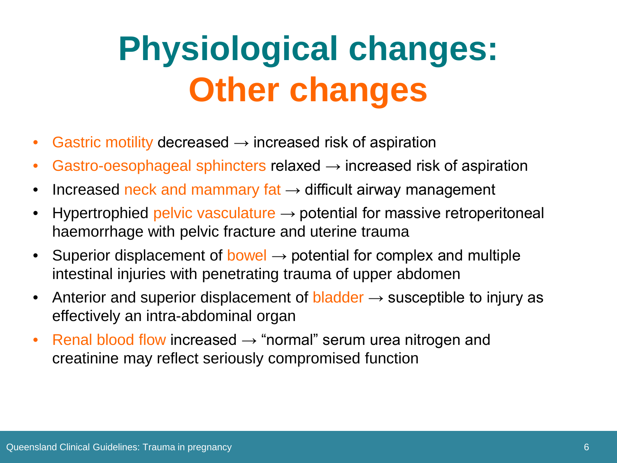# **Physiological changes: Other changes**

- Gastric motility decreased  $\rightarrow$  increased risk of aspiration
- Gastro-oesophageal sphincters relaxed  $\rightarrow$  increased risk of aspiration
- Increased neck and mammary fat  $\rightarrow$  difficult airway management
- $Hypertrophied$  pelvic vasculature  $\rightarrow$  potential for massive retroperitoneal haemorrhage with pelvic fracture and uterine trauma
- Superior displacement of bowel  $\rightarrow$  potential for complex and multiple intestinal injuries with penetrating trauma of upper abdomen
- Anterior and superior displacement of bladder  $\rightarrow$  susceptible to injury as effectively an intra-abdominal organ
- Renal blood flow increased  $\rightarrow$  "normal" serum urea nitrogen and creatinine may reflect seriously compromised function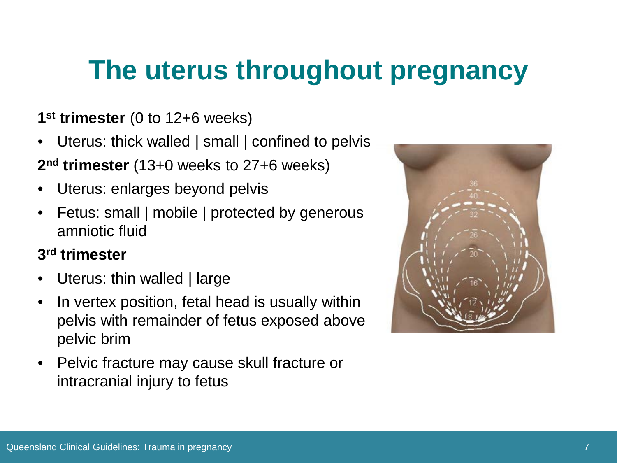### **The uterus throughout pregnancy**

#### **1st trimester** (0 to 12+6 weeks)

- Uterus: thick walled | small | confined to pelvis **2nd trimester** (13+0 weeks to 27+6 weeks)
- Uterus: enlarges beyond pelvis
- Fetus: small | mobile | protected by generous amniotic fluid

#### **3rd trimester**

- Uterus: thin walled | large
- In vertex position, fetal head is usually within pelvis with remainder of fetus exposed above pelvic brim
- Pelvic fracture may cause skull fracture or intracranial injury to fetus

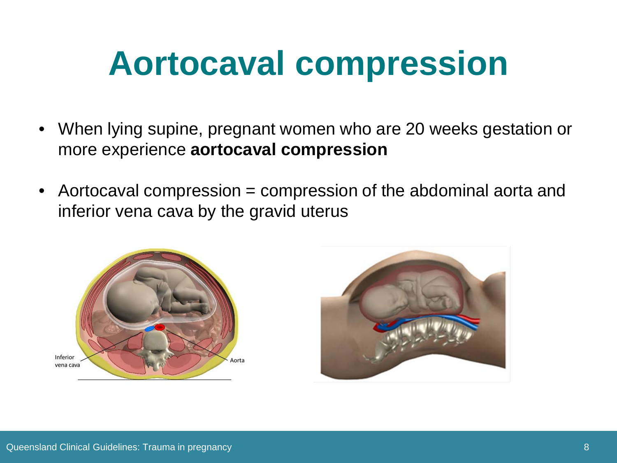## **Aortocaval compression**

- When lying supine, pregnant women who are 20 weeks gestation or more experience **aortocaval compression**
- Aortocaval compression = compression of the abdominal aorta and inferior vena cava by the gravid uterus



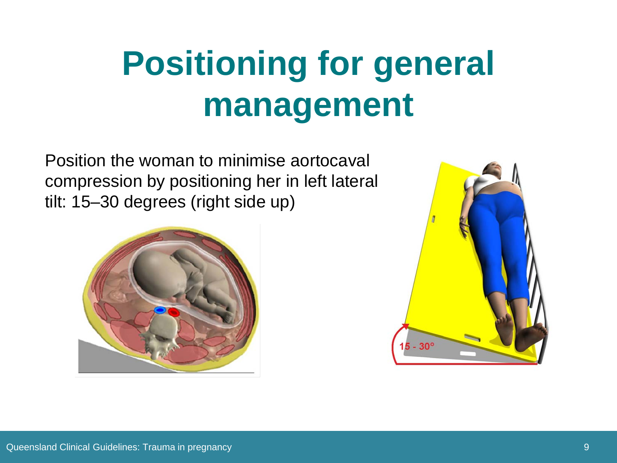# **Positioning for general management**

Position the woman to minimise aortocaval compression by positioning her in left lateral tilt: 15–30 degrees (right side up)



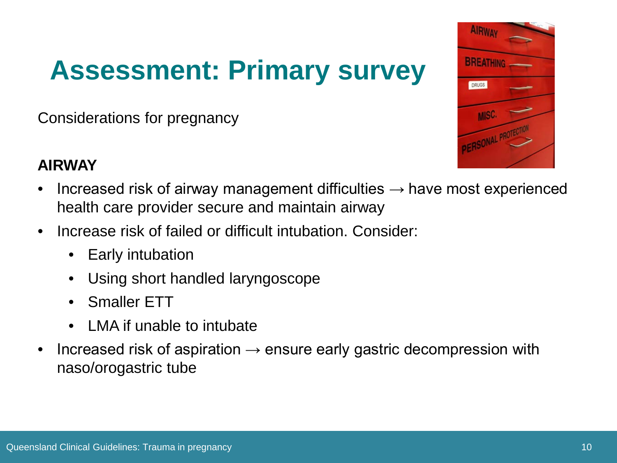## **Assessment: Primary survey**

Considerations for pregnancy



#### **AIRWAY**

- Increased risk of airway management difficulties  $\rightarrow$  have most experienced health care provider secure and maintain airway
- Increase risk of failed or difficult intubation. Consider:
	- **Early intubation**
	- Using short handled laryngoscope
	- Smaller ETT
	- LMA if unable to intubate
- Increased risk of aspiration  $\rightarrow$  ensure early gastric decompression with naso/orogastric tube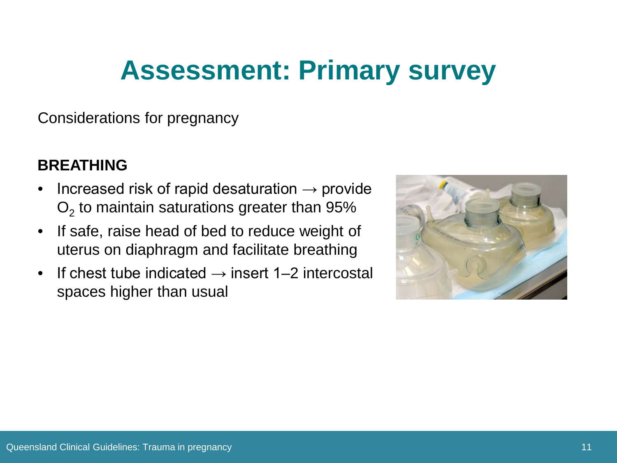### **Assessment: Primary survey**

Considerations for pregnancy

#### **BREATHING**

- Increased risk of rapid desaturation  $\rightarrow$  provide  $O<sub>2</sub>$  to maintain saturations greater than 95%
- If safe, raise head of bed to reduce weight of uterus on diaphragm and facilitate breathing
- If chest tube indicated  $\rightarrow$  insert 1–2 intercostal spaces higher than usual

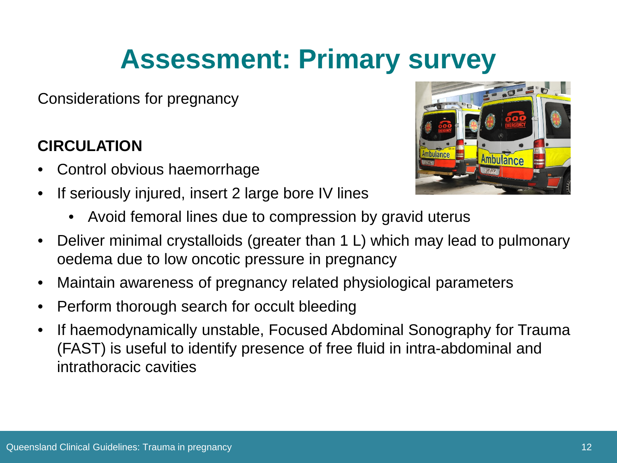### **Assessment: Primary survey**

Considerations for pregnancy

#### **CIRCULATION**

- Control obvious haemorrhage
- If seriously injured, insert 2 large bore IV lines
	- Avoid femoral lines due to compression by gravid uterus



- Deliver minimal crystalloids (greater than 1 L) which may lead to pulmonary oedema due to low oncotic pressure in pregnancy
- Maintain awareness of pregnancy related physiological parameters
- Perform thorough search for occult bleeding
- If haemodynamically unstable, Focused Abdominal Sonography for Trauma (FAST) is useful to identify presence of free fluid in intra-abdominal and intrathoracic cavities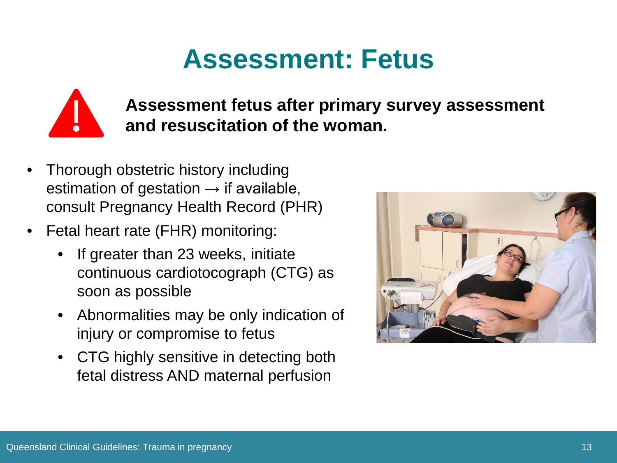#### **Assessment: Fetus**



**Assessment fetus after primary survey assessment and resuscitation of the woman.**

- Thorough obstetric history including estimation of gestation  $\rightarrow$  if available, consult Pregnancy Health Record (PHR)
- Fetal heart rate (FHR) monitoring:
	- If greater than 23 weeks, initiate continuous cardiotocograph (CTG) as soon as possible
	- Abnormalities may be only indication of injury or compromise to fetus
	- CTG highly sensitive in detecting both fetal distress AND maternal perfusion

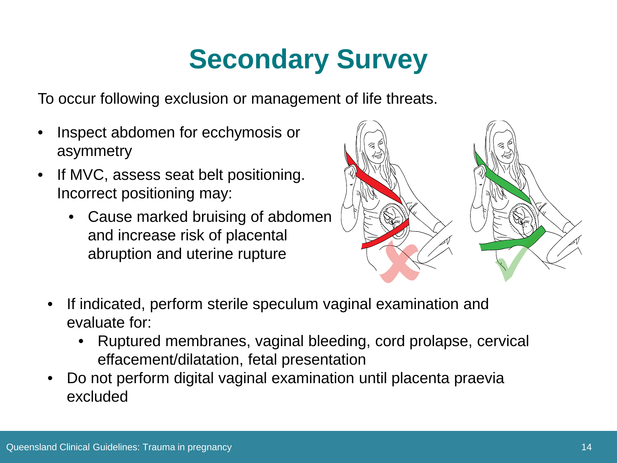## **Secondary Survey**

To occur following exclusion or management of life threats.

- Inspect abdomen for ecchymosis or asymmetry
- If MVC, assess seat belt positioning. Incorrect positioning may:
	- Cause marked bruising of abdomen and increase risk of placental abruption and uterine rupture



- If indicated, perform sterile speculum vaginal examination and evaluate for:
	- Ruptured membranes, vaginal bleeding, cord prolapse, cervical effacement/dilatation, fetal presentation
- Do not perform digital vaginal examination until placenta praevia excluded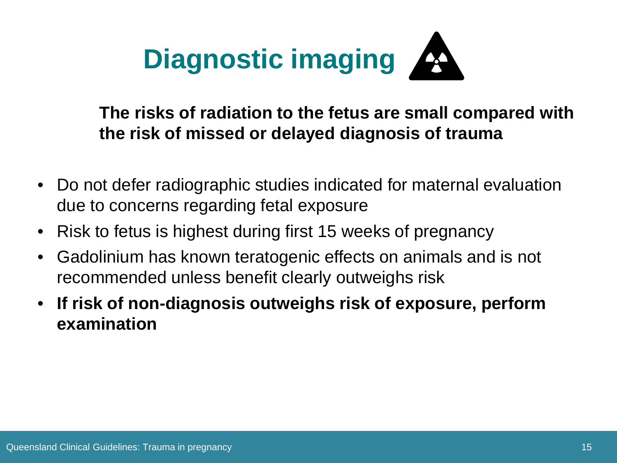

**The risks of radiation to the fetus are small compared with the risk of missed or delayed diagnosis of trauma**

- Do not defer radiographic studies indicated for maternal evaluation due to concerns regarding fetal exposure
- Risk to fetus is highest during first 15 weeks of pregnancy
- Gadolinium has known teratogenic effects on animals and is not recommended unless benefit clearly outweighs risk
- **If risk of non-diagnosis outweighs risk of exposure, perform examination**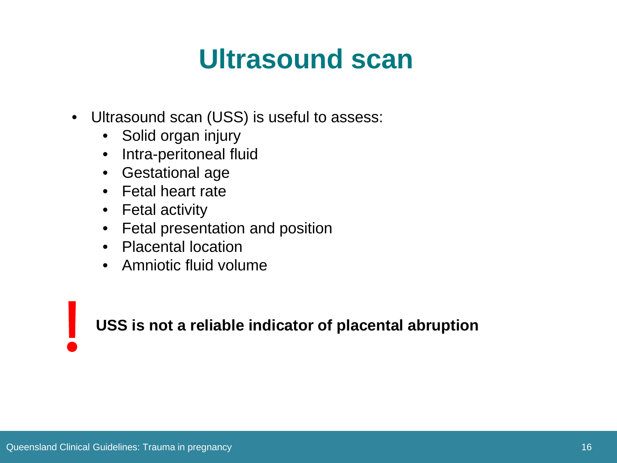#### **Ultrasound scan**

- Ultrasound scan (USS) is useful to assess:
	- Solid organ injury
	- Intra-peritoneal fluid
	- Gestational age
	- Fetal heart rate
	- Fetal activity
	- Fetal presentation and position
	- Placental location
	- Amniotic fluid volume

**USS is not a reliable indicator of placental abruption**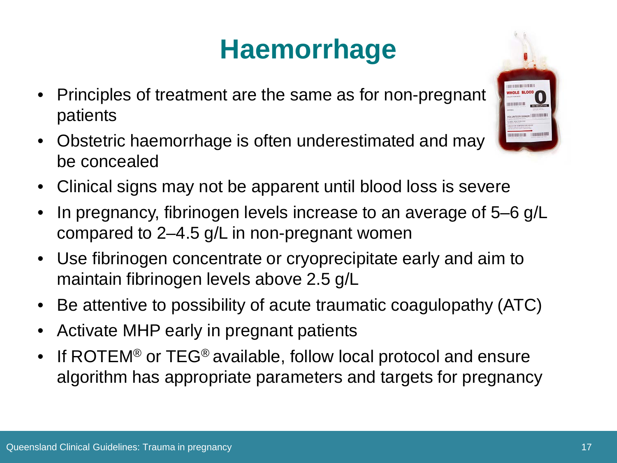## **Haemorrhage**

- Principles of treatment are the same as for non-pregnant patients
- Obstetric haemorrhage is often underestimated and may be concealed
- Clinical signs may not be apparent until blood loss is severe
- In pregnancy, fibrinogen levels increase to an average of 5–6 g/L compared to 2–4.5 g/L in non-pregnant women
- Use fibrinogen concentrate or cryoprecipitate early and aim to maintain fibrinogen levels above 2.5 g/L
- Be attentive to possibility of acute traumatic coagulopathy (ATC)
- Activate MHP early in pregnant patients
- If ROTEM<sup>®</sup> or TEG<sup>®</sup> available, follow local protocol and ensure algorithm has appropriate parameters and targets for pregnancy

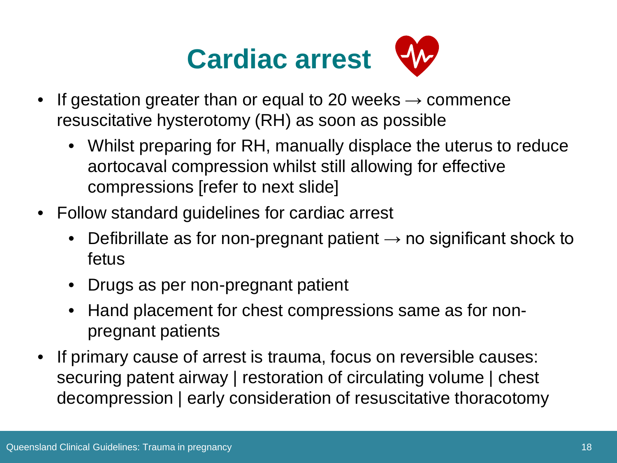

- If gestation greater than or equal to 20 weeks  $\rightarrow$  commence resuscitative hysterotomy (RH) as soon as possible
	- Whilst preparing for RH, manually displace the uterus to reduce aortocaval compression whilst still allowing for effective compressions [refer to next slide]
- Follow standard guidelines for cardiac arrest
	- Defibrillate as for non-pregnant patient  $\rightarrow$  no significant shock to fetus
	- Drugs as per non-pregnant patient
	- Hand placement for chest compressions same as for nonpregnant patients
- If primary cause of arrest is trauma, focus on reversible causes: securing patent airway | restoration of circulating volume | chest decompression | early consideration of resuscitative thoracotomy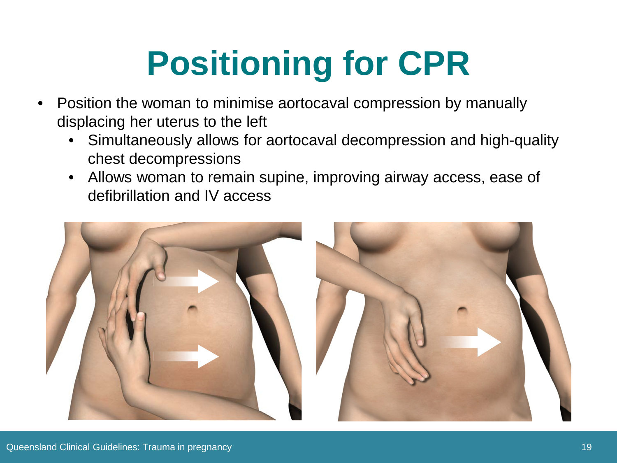# **Positioning for CPR**

- Position the woman to minimise aortocaval compression by manually displacing her uterus to the left
	- Simultaneously allows for aortocaval decompression and high-quality chest decompressions
	- Allows woman to remain supine, improving airway access, ease of defibrillation and IV access

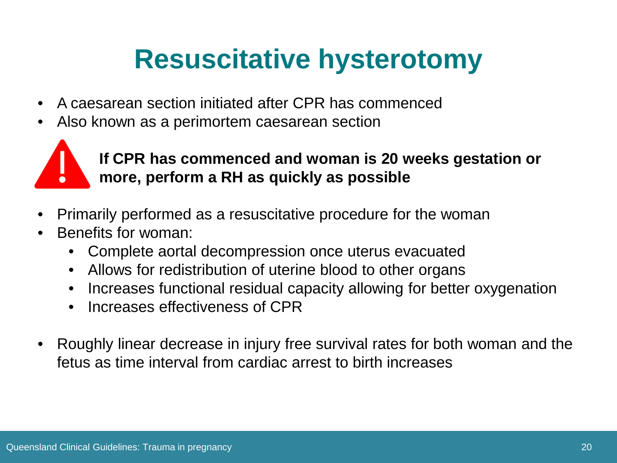### **Resuscitative hysterotomy**

- A caesarean section initiated after CPR has commenced
- Also known as a perimortem caesarean section



#### **If CPR has commenced and woman is 20 weeks gestation or more, perform a RH as quickly as possible**

- Primarily performed as a resuscitative procedure for the woman
- Benefits for woman:
	- Complete aortal decompression once uterus evacuated
	- Allows for redistribution of uterine blood to other organs
	- Increases functional residual capacity allowing for better oxygenation
	- Increases effectiveness of CPR
- Roughly linear decrease in injury free survival rates for both woman and the fetus as time interval from cardiac arrest to birth increases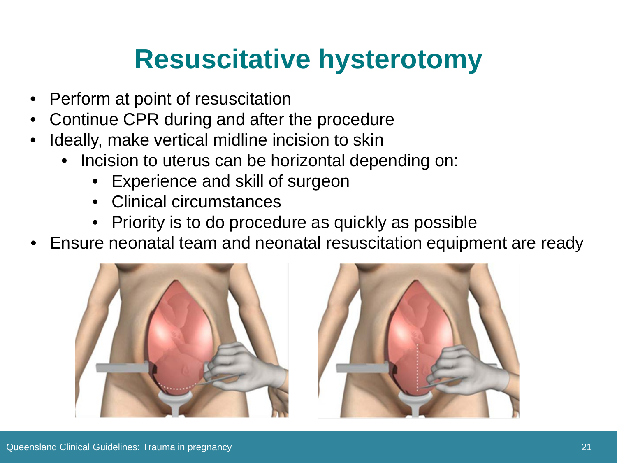### **Resuscitative hysterotomy**

- Perform at point of resuscitation
- Continue CPR during and after the procedure
- Ideally, make vertical midline incision to skin
	- Incision to uterus can be horizontal depending on:
		- Experience and skill of surgeon
		- Clinical circumstances
		- Priority is to do procedure as quickly as possible
- Ensure neonatal team and neonatal resuscitation equipment are ready



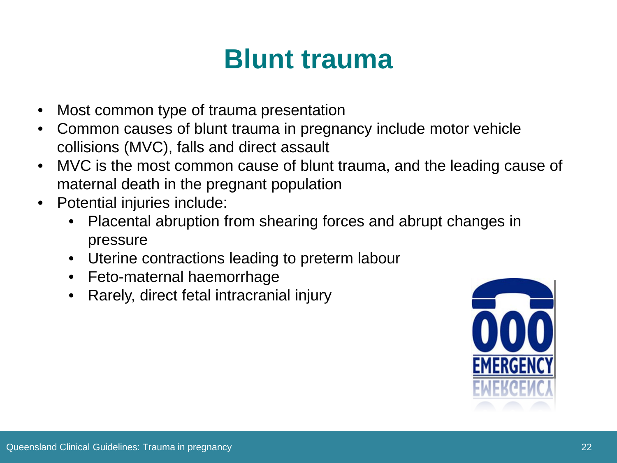#### **Blunt trauma**

- Most common type of trauma presentation
- Common causes of blunt trauma in pregnancy include motor vehicle collisions (MVC), falls and direct assault
- MVC is the most common cause of blunt trauma, and the leading cause of maternal death in the pregnant population
- Potential injuries include:
	- Placental abruption from shearing forces and abrupt changes in pressure
	- Uterine contractions leading to preterm labour
	- Feto-maternal haemorrhage
	- Rarely, direct fetal intracranial injury

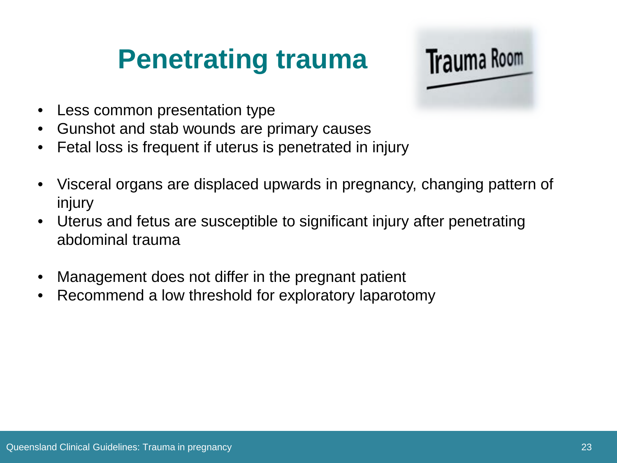### **Penetrating trauma**



- Less common presentation type
- Gunshot and stab wounds are primary causes
- Fetal loss is frequent if uterus is penetrated in injury
- Visceral organs are displaced upwards in pregnancy, changing pattern of injury
- Uterus and fetus are susceptible to significant injury after penetrating abdominal trauma
- Management does not differ in the pregnant patient
- Recommend a low threshold for exploratory laparotomy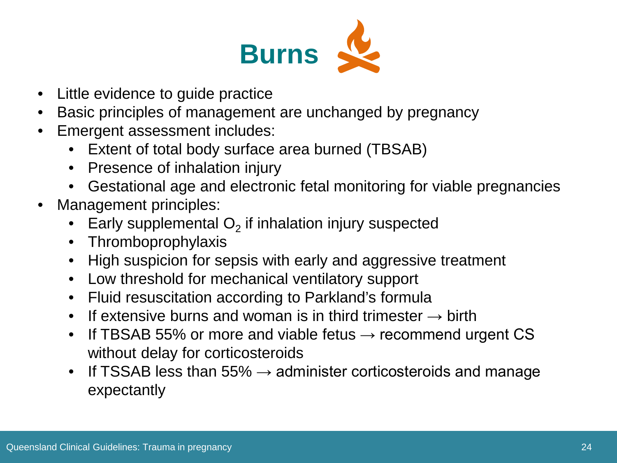

- Little evidence to guide practice
- Basic principles of management are unchanged by pregnancy
- Emergent assessment includes:
	- Extent of total body surface area burned (TBSAB)
	- Presence of inhalation injury
	- Gestational age and electronic fetal monitoring for viable pregnancies
- Management principles:
	- Early supplemental  $O<sub>2</sub>$  if inhalation injury suspected
	- Thromboprophylaxis
	- High suspicion for sepsis with early and aggressive treatment
	- Low threshold for mechanical ventilatory support
	- Fluid resuscitation according to Parkland's formula
	- If extensive burns and woman is in third trimester  $\rightarrow$  birth
	- If TBSAB 55% or more and viable fetus  $\rightarrow$  recommend urgent CS without delay for corticosteroids
	- If TSSAB less than 55%  $\rightarrow$  administer corticosteroids and manage expectantly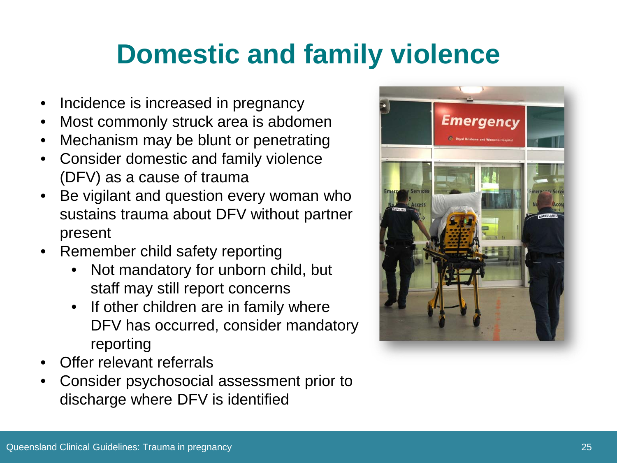### **Domestic and family violence**

- Incidence is increased in pregnancy
- Most commonly struck area is abdomen
- Mechanism may be blunt or penetrating
- Consider domestic and family violence (DFV) as a cause of trauma
- Be vigilant and question every woman who sustains trauma about DFV without partner present
- Remember child safety reporting
	- Not mandatory for unborn child, but staff may still report concerns
	- If other children are in family where DFV has occurred, consider mandatory reporting
- Offer relevant referrals
- Consider psychosocial assessment prior to discharge where DFV is identified

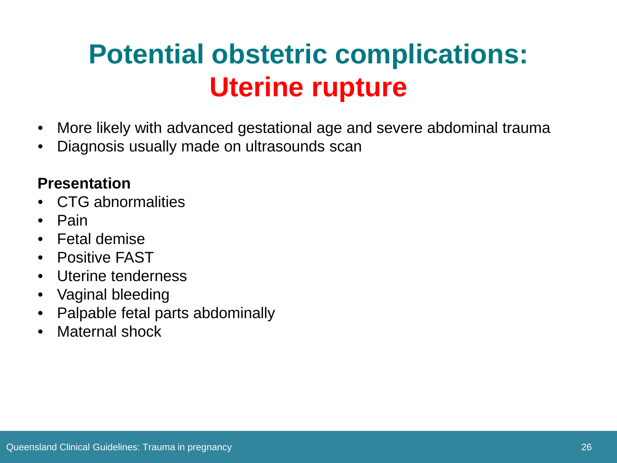## **Potential obstetric complications: Uterine rupture**

- More likely with advanced gestational age and severe abdominal trauma
- Diagnosis usually made on ultrasounds scan

#### **Presentation**

- CTG abnormalities
- Pain
- Fetal demise
- Positive FAST
- Uterine tenderness
- Vaginal bleeding
- Palpable fetal parts abdominally
- Maternal shock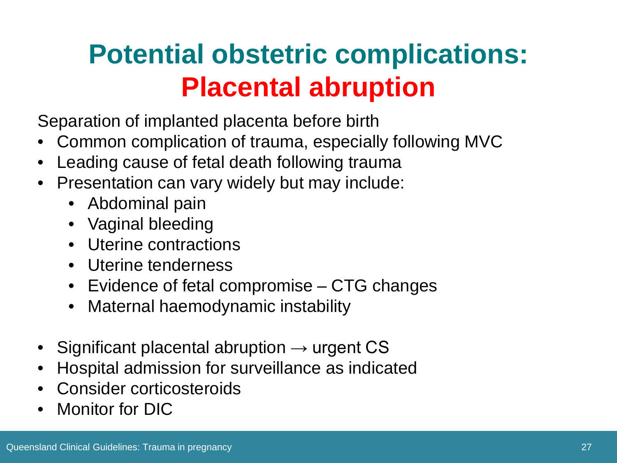## **Potential obstetric complications: Placental abruption**

Separation of implanted placenta before birth

- Common complication of trauma, especially following MVC
- Leading cause of fetal death following trauma
- Presentation can vary widely but may include:
	- Abdominal pain
	- Vaginal bleeding
	- Uterine contractions
	- Uterine tenderness
	- Evidence of fetal compromise CTG changes
	- Maternal haemodynamic instability
- Significant placental abruption  $\rightarrow$  urgent CS
- Hospital admission for surveillance as indicated
- Consider corticosteroids
- Monitor for DIC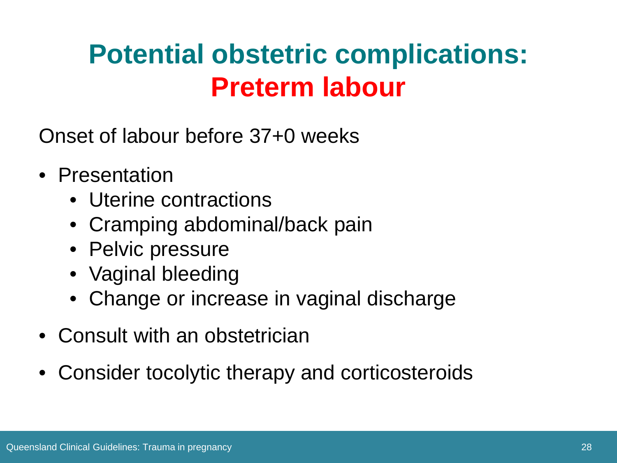### **Potential obstetric complications: Preterm labour**

Onset of labour before 37+0 weeks

- Presentation
	- Uterine contractions
	- Cramping abdominal/back pain
	- Pelvic pressure
	- Vaginal bleeding
	- Change or increase in vaginal discharge
- Consult with an obstetrician
- Consider tocolytic therapy and corticosteroids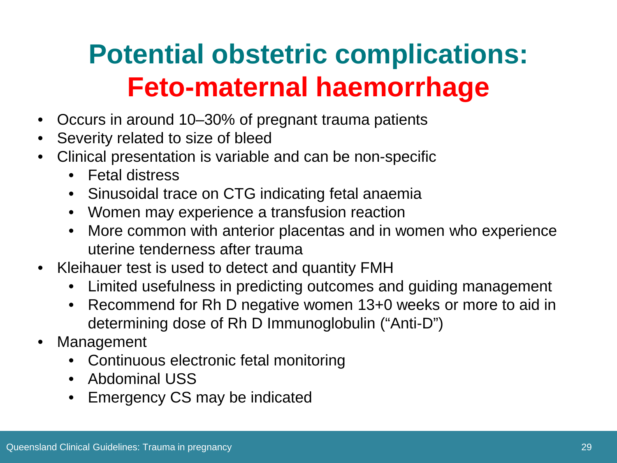## **Potential obstetric complications: Feto-maternal haemorrhage**

- Occurs in around 10–30% of pregnant trauma patients
- Severity related to size of bleed
- Clinical presentation is variable and can be non-specific
	- Fetal distress
	- Sinusoidal trace on CTG indicating fetal anaemia
	- Women may experience a transfusion reaction
	- More common with anterior placentas and in women who experience uterine tenderness after trauma
- Kleihauer test is used to detect and quantity FMH
	- Limited usefulness in predicting outcomes and guiding management
	- Recommend for Rh D negative women 13+0 weeks or more to aid in determining dose of Rh D Immunoglobulin ("Anti-D")
- **Management** 
	- Continuous electronic fetal monitoring
	- Abdominal USS
	- Emergency CS may be indicated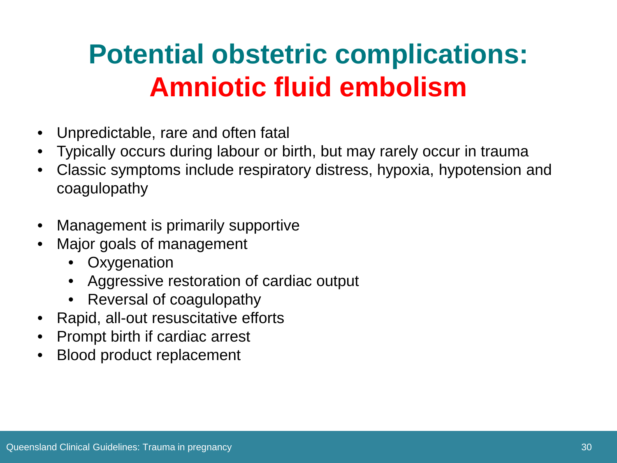## **Potential obstetric complications: Amniotic fluid embolism**

- Unpredictable, rare and often fatal
- Typically occurs during labour or birth, but may rarely occur in trauma
- Classic symptoms include respiratory distress, hypoxia, hypotension and coagulopathy
- Management is primarily supportive
- Major goals of management
	- **Oxygenation**
	- Aggressive restoration of cardiac output
	- Reversal of coagulopathy
- Rapid, all-out resuscitative efforts
- Prompt birth if cardiac arrest
- Blood product replacement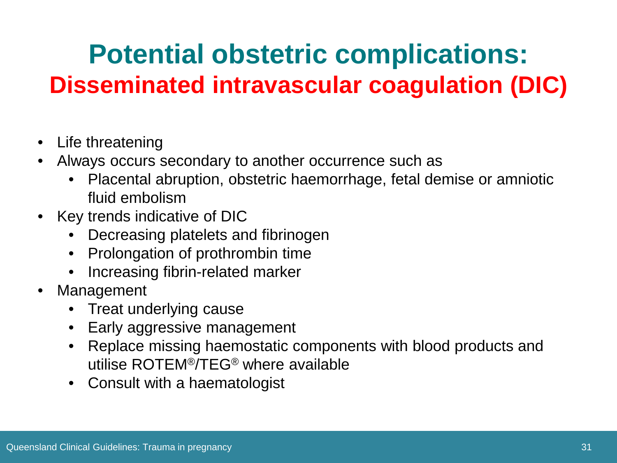### **Potential obstetric complications: Disseminated intravascular coagulation (DIC)**

- Life threatening
- Always occurs secondary to another occurrence such as
	- Placental abruption, obstetric haemorrhage, fetal demise or amniotic fluid embolism
- Key trends indicative of DIC
	- Decreasing platelets and fibrinogen
	- Prolongation of prothrombin time
	- Increasing fibrin-related marker
- Management
	- Treat underlying cause
	- Early aggressive management
	- Replace missing haemostatic components with blood products and utilise ROTEM®/TEG® where available
	- Consult with a haematologist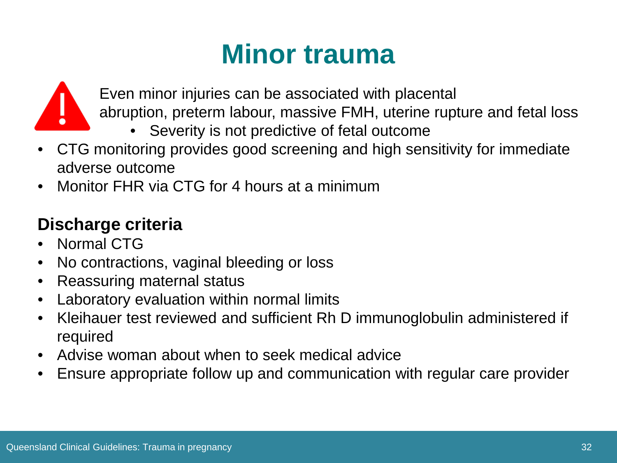#### **Minor trauma**



- Even minor injuries can be associated with placental
- abruption, preterm labour, massive FMH, uterine rupture and fetal loss
	- Severity is not predictive of fetal outcome
- CTG monitoring provides good screening and high sensitivity for immediate adverse outcome
- Monitor FHR via CTG for 4 hours at a minimum

#### **Discharge criteria**

- Normal CTG
- No contractions, vaginal bleeding or loss
- Reassuring maternal status
- Laboratory evaluation within normal limits
- Kleihauer test reviewed and sufficient Rh D immunoglobulin administered if required
- Advise woman about when to seek medical advice
- Ensure appropriate follow up and communication with regular care provider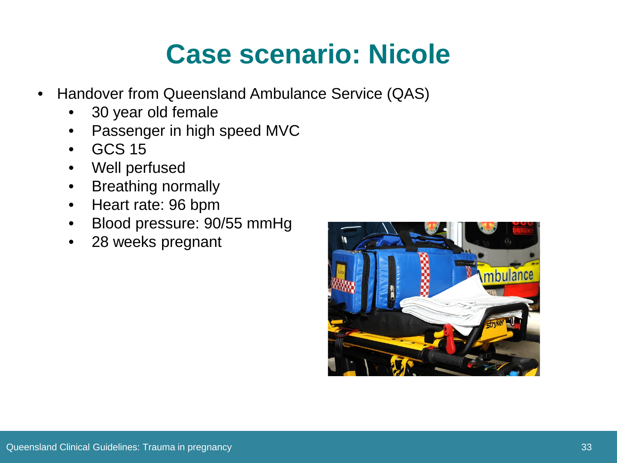### **Case scenario: Nicole**

- Handover from Queensland Ambulance Service (QAS)
	- 30 year old female
	- Passenger in high speed MVC
	- GCS 15
	- Well perfused
	- Breathing normally
	- Heart rate: 96 bpm
	- Blood pressure: 90/55 mmHg
	- 28 weeks pregnant

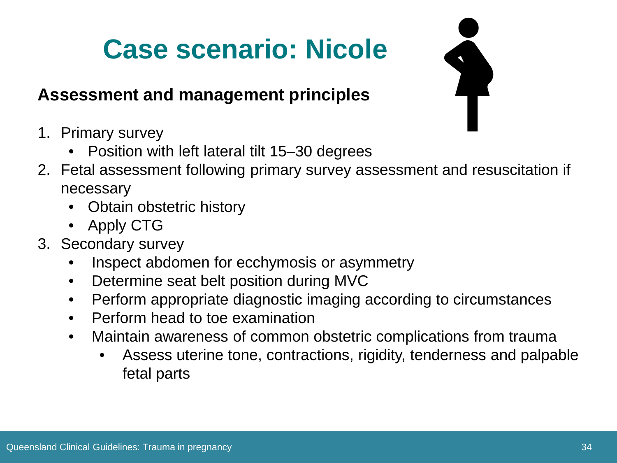## **Case scenario: Nicole**

#### **Assessment and management principles**

- 1. Primary survey
	- Position with left lateral tilt 15–30 degrees
- 2. Fetal assessment following primary survey assessment and resuscitation if necessary
	- Obtain obstetric history
	- Apply CTG
- 3. Secondary survey
	- Inspect abdomen for ecchymosis or asymmetry
	- Determine seat belt position during MVC
	- Perform appropriate diagnostic imaging according to circumstances
	- Perform head to toe examination
	- Maintain awareness of common obstetric complications from trauma
		- Assess uterine tone, contractions, rigidity, tenderness and palpable fetal parts